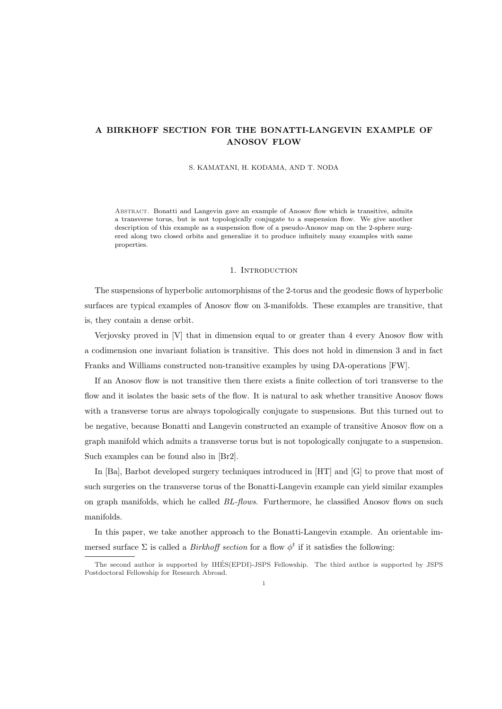# **A BIRKHOFF SECTION FOR THE BONATTI-LANGEVIN EXAMPLE OF ANOSOV FLOW**

#### S. KAMATANI, H. KODAMA, AND T. NODA

Abstract. Bonatti and Langevin gave an example of Anosov flow which is transitive, admits a transverse torus, but is not topologically conjugate to a suspension flow. We give another description of this example as a suspension flow of a pseudo-Anosov map on the 2-sphere surgered along two closed orbits and generalize it to produce infinitely many examples with same properties.

#### 1. INTRODUCTION

The suspensions of hyperbolic automorphisms of the 2-torus and the geodesic flows of hyperbolic surfaces are typical examples of Anosov flow on 3-manifolds. These examples are transitive, that is, they contain a dense orbit.

Verjovsky proved in [V] that in dimension equal to or greater than 4 every Anosov flow with a codimension one invariant foliation is transitive. This does not hold in dimension 3 and in fact Franks and Williams constructed non-transitive examples by using DA-operations [FW].

If an Anosov flow is not transitive then there exists a finite collection of tori transverse to the flow and it isolates the basic sets of the flow. It is natural to ask whether transitive Anosov flows with a transverse torus are always topologically conjugate to suspensions. But this turned out to be negative, because Bonatti and Langevin constructed an example of transitive Anosov flow on a graph manifold which admits a transverse torus but is not topologically conjugate to a suspension. Such examples can be found also in [Br2].

In [Ba], Barbot developed surgery techniques introduced in [HT] and [G] to prove that most of such surgeries on the transverse torus of the Bonatti-Langevin example can yield similar examples on graph manifolds, which he called *BL-flows*. Furthermore, he classified Anosov flows on such manifolds.

In this paper, we take another approach to the Bonatti-Langevin example. An orientable immersed surface  $\Sigma$  is called a *Birkhoff section* for a flow  $\phi^t$  if it satisfies the following:

The second author is supported by IHES(EPDI)-JSPS Fellowship. The third author is supported by JSPS ´ Postdoctoral Fellowship for Research Abroad.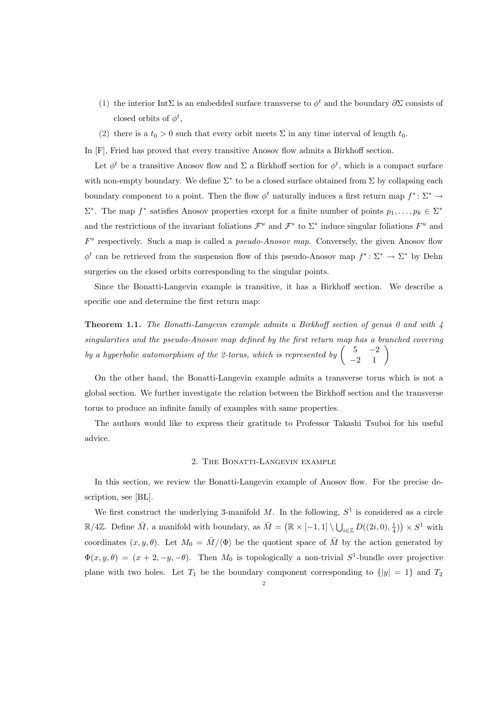- (1) the interior IntΣ is an embedded surface transverse to  $\phi^t$  and the boundary  $\partial \Sigma$  consists of closed orbits of  $\phi^t$ ,
- (2) there is a  $t_0 > 0$  such that every orbit meets  $\Sigma$  in any time interval of length  $t_0$ .

In [F], Fried has proved that every transitive Anosov flow admits a Birkhoff section.

Let  $\phi^t$  be a transitive Anosov flow and  $\Sigma$  a Birkhoff section for  $\phi^t$ , which is a compact surface with non-empty boundary. We define Σ*<sup>∗</sup>* to be a closed surface obtained from Σ by collapsing each boundary component to a point. Then the flow  $\phi^t$  naturally induces a first return map  $f^* \colon \Sigma^* \to$  $\Sigma^*$ . The map  $f^*$  satisfies Anosov properties except for a finite number of points  $p_1, \ldots, p_k \in \Sigma^*$ and the restrictions of the invariant foliations  $\mathcal{F}^u$  and  $\mathcal{F}^s$  to  $\Sigma^*$  induce singular foliations  $F^u$  and *F s* respectively. Such a map is called a *pseudo-Anosov map*. Conversely, the given Anosov flow  $\phi^t$  can be retrieved from the suspension flow of this pseudo-Anosov map  $f^* \colon \Sigma^* \to \Sigma^*$  by Dehn surgeries on the closed orbits corresponding to the singular points.

Since the Bonatti-Langevin example is transitive, it has a Birkhoff section. We describe a specific one and determine the first return map:

**Theorem 1.1.** *The Bonatti-Langevin example admits a Birkhoff section of genus 0 and with 4 singularities and the pseudo-Anosov map defined by the first return map has a branched covering by a hyperbolic automorphism of the 2-torus, which is represented by*  $\begin{pmatrix} 5 & -2 \\ -2 & 1 \end{pmatrix}$ 

On the other hand, the Bonatti-Langevin example admits a transverse torus which is not a global section. We further investigate the relation between the Birkhoff section and the transverse torus to produce an infinite family of examples with same properties.

The authors would like to express their gratitude to Professor Takashi Tsuboi for his useful advice.

### 2. The Bonatti-Langevin example

In this section, we review the Bonatti-Langevin example of Anosov flow. For the precise description, see [BL].

We first construct the underlying 3-manifold  $M$ . In the following,  $S<sup>1</sup>$  is considered as a circle  $\mathbb{R}/4\mathbb{Z}$ . Define  $\overline{M}$ , a manifold with boundary, as  $\overline{M} = (\mathbb{R} \times [-1,1] \setminus \bigcup_{i \in \mathbb{Z}} D((2i,0), \frac{1}{4})) \times S^1$  with coordinates  $(x, y, \theta)$ . Let  $M_0 = \overline{M}/\langle \Phi \rangle$  be the quotient space of  $\overline{M}$  by the action generated by  $\Phi(x, y, \theta) = (x + 2, -y, -\theta)$ . Then  $M_0$  is topologically a non-trivial  $S^1$ -bundle over projective plane with two holes. Let  $T_1$  be the boundary component corresponding to  $\{|y|=1\}$  and  $T_2$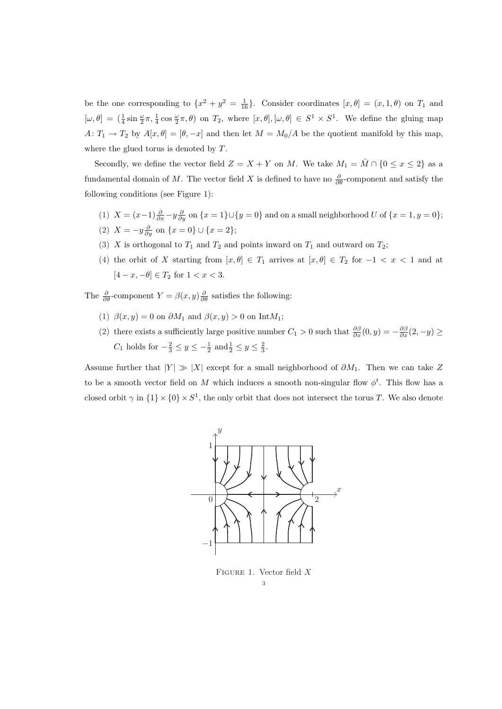be the one corresponding to  $\{x^2 + y^2 = \frac{1}{16}\}$ . Consider coordinates  $[x, \theta] = (x, 1, \theta)$  on  $T_1$  and  $[\omega, \theta] = (\frac{1}{4} \sin \frac{\omega}{2} \pi, \frac{1}{4} \cos \frac{\omega}{2} \pi, \theta)$  on  $T_2$ , where  $[x, \theta], [\omega, \theta] \in S^1 \times S^1$ . We define the gluing map *A*:  $T_1 \rightarrow T_2$  by  $A[x,\theta] = [\theta, -x]$  and then let  $M = M_0/A$  be the quotient manifold by this map, where the glued torus is denoted by *T*.

Secondly, we define the vector field  $Z = X + Y$  on *M*. We take  $M_1 = \overline{M} \cap \{0 \le x \le 2\}$  as a fundamental domain of *M*. The vector field *X* is defined to have no  $\frac{\partial}{\partial \theta}$ -component and satisfy the following conditions (see Figure 1):

- (1)  $X = (x-1)\frac{\partial}{\partial x} y\frac{\partial}{\partial y}$  on  $\{x = 1\} \cup \{y = 0\}$  and on a small neighborhood U of  $\{x = 1, y = 0\}$ ; (2)  $X = -y\frac{\partial}{\partial y}$  on  $\{x = 0\} \cup \{x = 2\};$
- (3) *X* is orthogonal to  $T_1$  and  $T_2$  and points inward on  $T_1$  and outward on  $T_2$ ;
- (4) the orbit of *X* starting from  $[x, \theta] \in T_1$  arrives at  $[x, \theta] \in T_2$  for  $-1 < x < 1$  and at  $[4 - x, -θ] \in T_2$  for  $1 < x < 3$ .

The  $\frac{\partial}{\partial \theta}$ -component  $Y = \beta(x, y) \frac{\partial}{\partial \theta}$  satisfies the following:

- (1)  $\beta(x, y) = 0$  on  $\partial M_1$  and  $\beta(x, y) > 0$  on Int $M_1$ ;
- (2) there exists a sufficiently large positive number  $C_1 > 0$  such that  $\frac{\partial \beta}{\partial x}(0, y) = -\frac{\partial \beta}{\partial x}(2, -y) \ge$ *C*<sub>1</sub> holds for  $-\frac{2}{3} \le y \le -\frac{1}{2}$  and  $\frac{1}{2} \le y \le \frac{2}{3}$ .

Assume further that  $|Y| \gg |X|$  except for a small neighborhood of  $\partial M_1$ . Then we can take *Z* to be a smooth vector field on *M* which induces a smooth non-singular flow  $\phi^t$ . This flow has a closed orbit  $\gamma$  in  $\{1\} \times \{0\} \times S^1$ , the only orbit that does not intersect the torus *T*. We also denote



Figure 1. Vector field *X* 3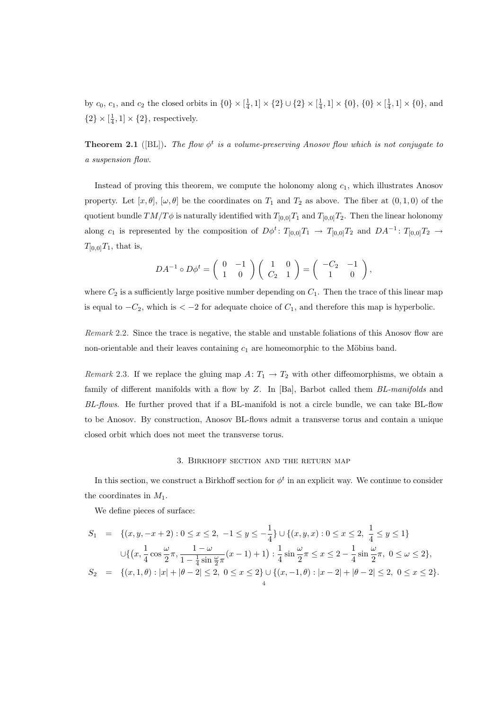by  $c_0, c_1$ , and  $c_2$  the closed orbits in  $\{0\} \times [\frac{1}{4}, 1] \times \{2\} \cup \{2\} \times [\frac{1}{4}, 1] \times \{0\}$ ,  $\{0\} \times [\frac{1}{4}, 1] \times \{0\}$ , and  $\{2\} \times [\frac{1}{4}, 1] \times \{2\}$ , respectively.

**Theorem 2.1** ([BL]). *The flow*  $\phi^t$  *is a volume-preserving Anosov flow which is not conjugate to a suspension flow.*

Instead of proving this theorem, we compute the holonomy along *c*1, which illustrates Anosov property. Let  $[x, \theta], [\omega, \theta]$  be the coordinates on  $T_1$  and  $T_2$  as above. The fiber at  $(0, 1, 0)$  of the quotient bundle  $TM/T\phi$  is naturally identified with  $T_{[0,0]}T_1$  and  $T_{[0,0]}T_2$ . Then the linear holonomy along  $c_1$  is represented by the composition of  $D\phi^t$ :  $T_{[0,0]}T_1 \rightarrow T_{[0,0]}T_2$  and  $DA^{-1}$ :  $T_{[0,0]}T_2 \rightarrow$  $T_{[0,0]}T_1$ , that is,

$$
DA^{-1} \circ D\phi^t = \begin{pmatrix} 0 & -1 \\ 1 & 0 \end{pmatrix} \begin{pmatrix} 1 & 0 \\ C_2 & 1 \end{pmatrix} = \begin{pmatrix} -C_2 & -1 \\ 1 & 0 \end{pmatrix},
$$

where  $C_2$  is a sufficiently large positive number depending on  $C_1$ . Then the trace of this linear map is equal to  $−C_2$ , which is  $\lt −2$  for adequate choice of  $C_1$ , and therefore this map is hyperbolic.

*Remark* 2.2. Since the trace is negative, the stable and unstable foliations of this Anosov flow are non-orientable and their leaves containing  $c_1$  are homeomorphic to the Möbius band.

*Remark* 2.3. If we replace the gluing map  $A: T_1 \rightarrow T_2$  with other diffeomorphisms, we obtain a family of different manifolds with a flow by *Z*. In [Ba], Barbot called them *BL-manifolds* and *BL-flows*. He further proved that if a BL-manifold is not a circle bundle, we can take BL-flow to be Anosov. By construction, Anosov BL-flows admit a transverse torus and contain a unique closed orbit which does not meet the transverse torus.

#### 3. Birkhoff section and the return map

In this section, we construct a Birkhoff section for  $\phi^t$  in an explicit way. We continue to consider the coordinates in *M*1.

We define pieces of surface:

$$
S_1 = \{(x, y, -x + 2) : 0 \le x \le 2, -1 \le y \le -\frac{1}{4}\} \cup \{(x, y, x) : 0 \le x \le 2, \frac{1}{4} \le y \le 1\}
$$
  
\n
$$
\cup \{(x, \frac{1}{4}\cos\frac{\omega}{2}\pi, \frac{1-\omega}{1-\frac{1}{4}\sin\frac{\omega}{2}\pi}(x-1)+1) : \frac{1}{4}\sin\frac{\omega}{2}\pi \le x \le 2 - \frac{1}{4}\sin\frac{\omega}{2}\pi, 0 \le \omega \le 2\},
$$
  
\n
$$
S_2 = \{(x, 1, \theta) : |x| + |\theta - 2| \le 2, 0 \le x \le 2\} \cup \{(x, -1, \theta) : |x - 2| + |\theta - 2| \le 2, 0 \le x \le 2\}.
$$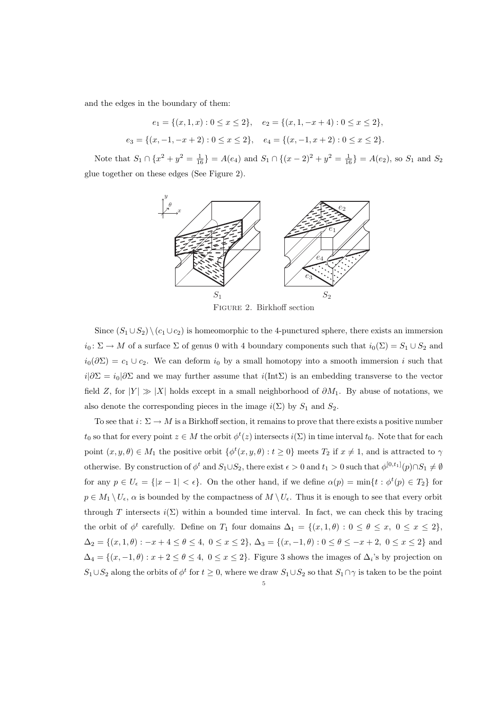and the edges in the boundary of them:

$$
e_1 = \{(x, 1, x) : 0 \le x \le 2\}, \quad e_2 = \{(x, 1, -x + 4) : 0 \le x \le 2\},
$$
  

$$
e_3 = \{(x, -1, -x + 2) : 0 \le x \le 2\}, \quad e_4 = \{(x, -1, x + 2) : 0 \le x \le 2\}.
$$

Note that  $S_1 \cap \{x^2 + y^2 = \frac{1}{16}\} = A(e_4)$  and  $S_1 \cap \{(x-2)^2 + y^2 = \frac{1}{16}\} = A(e_2)$ , so  $S_1$  and  $S_2$ glue together on these edges (See Figure 2).



Figure 2. Birkhoff section

Since  $(S_1 \cup S_2) \setminus (c_1 \cup c_2)$  is homeomorphic to the 4-punctured sphere, there exists an immersion  $i_0: \Sigma \to M$  of a surface  $\Sigma$  of genus 0 with 4 boundary components such that  $i_0(\Sigma) = S_1 \cup S_2$  and  $i_0(\partial \Sigma) = c_1 \cup c_2$ . We can deform  $i_0$  by a small homotopy into a smooth immersion *i* such that  $i|\partial\Sigma = i_0|\partial\Sigma$  and we may further assume that  $i(\text{Int}\Sigma)$  is an embedding transverse to the vector field *Z*, for  $|Y| \gg |X|$  holds except in a small neighborhood of  $\partial M_1$ . By abuse of notations, we also denote the corresponding pieces in the image  $i(\Sigma)$  by  $S_1$  and  $S_2$ .

To see that  $i: \Sigma \to M$  is a Birkhoff section, it remains to prove that there exists a positive number  $t_0$  so that for every point  $z \in M$  the orbit  $\phi^t(z)$  intersects  $i(\Sigma)$  in time interval  $t_0$ . Note that for each point  $(x, y, \theta) \in M_1$  the positive orbit  $\{\phi^t(x, y, \theta) : t \geq 0\}$  meets  $T_2$  if  $x \neq 1$ , and is attracted to  $\gamma$ otherwise. By construction of  $\phi^t$  and  $S_1 \cup S_2$ , there exist  $\epsilon > 0$  and  $t_1 > 0$  such that  $\phi^{[0,t_1]}(p) \cap S_1 \neq \emptyset$ for any  $p \in U_{\epsilon} = \{|x-1| < \epsilon\}$ . On the other hand, if we define  $\alpha(p) = \min\{t : \phi^t(p) \in T_2\}$  for  $p \in M_1 \setminus U_\epsilon$ ,  $\alpha$  is bounded by the compactness of  $M \setminus U_\epsilon$ . Thus it is enough to see that every orbit through *T* intersects  $i(\Sigma)$  within a bounded time interval. In fact, we can check this by tracing the orbit of  $\phi^t$  carefully. Define on  $T_1$  four domains  $\Delta_1 = \{(x,1,\theta): 0 \le \theta \le x, 0 \le x \le 2\}$ ,  $\Delta_2 = \{(x,1,\theta): -x+4 \leq \theta \leq 4, \ 0 \leq x \leq 2\},\ \Delta_3 = \{(x,-1,\theta): 0 \leq \theta \leq -x+2, \ 0 \leq x \leq 2\} \hbox{ and }$  $\Delta_4 = \{(x, -1, \theta) : x + 2 \leq \theta \leq 4, 0 \leq x \leq 2\}$ . Figure 3 shows the images of  $\Delta_i$ 's by projection on *S*<sub>1</sub>*∪S*<sub>2</sub> along the orbits of  $\phi^t$  for  $t \geq 0$ , where we draw *S*<sub>1</sub>*∪S*<sub>2</sub> so that *S*<sub>1</sub>*∩γ* is taken to be the point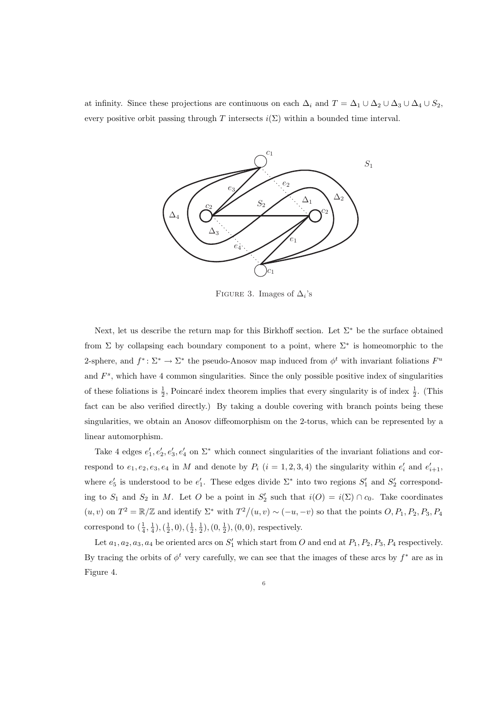at infinity. Since these projections are continuous on each  $\Delta_i$  and  $T = \Delta_1 \cup \Delta_2 \cup \Delta_3 \cup \Delta_4 \cup S_2$ , every positive orbit passing through *T* intersects  $i(\Sigma)$  within a bounded time interval.



FIGURE 3. Images of  $\Delta_i$ 's

Next, let us describe the return map for this Birkhoff section. Let Σ*<sup>∗</sup>* be the surface obtained from Σ by collapsing each boundary component to a point, where Σ*<sup>∗</sup>* is homeomorphic to the 2-sphere, and  $f^*$ :  $\Sigma^* \to \Sigma^*$  the pseudo-Anosov map induced from  $\phi^t$  with invariant foliations  $F^u$ and  $F^s$ , which have 4 common singularities. Since the only possible positive index of singularities of these foliations is  $\frac{1}{2}$ , Poincaré index theorem implies that every singularity is of index  $\frac{1}{2}$ . (This fact can be also verified directly.) By taking a double covering with branch points being these singularities, we obtain an Anosov diffeomorphism on the 2-torus, which can be represented by a linear automorphism.

Take 4 edges  $e'_1, e'_2, e'_3, e'_4$  on  $\Sigma^*$  which connect singularities of the invariant foliations and correspond to  $e_1, e_2, e_3, e_4$  in M and denote by  $P_i$   $(i = 1, 2, 3, 4)$  the singularity within  $e'_i$  and  $e'_{i+1}$ , where  $e'_5$  is understood to be  $e'_1$ . These edges divide  $\Sigma^*$  into two regions  $S'_1$  and  $S'_2$  corresponding to  $S_1$  and  $S_2$  in *M*. Let *O* be a point in  $S'_2$  such that  $i(O) = i(\Sigma) \cap c_0$ . Take coordinates  $(u, v)$  on  $T^2 = \mathbb{R}/\mathbb{Z}$  and identify  $\Sigma^*$  with  $T^2/(u, v) \sim (-u, -v)$  so that the points  $O, P_1, P_2, P_3, P_4$ correspond to  $(\frac{1}{4}, \frac{1}{4}), (\frac{1}{2}, 0), (\frac{1}{2}, \frac{1}{2}), (0, \frac{1}{2}), (0, 0)$ , respectively.

Let  $a_1, a_2, a_3, a_4$  be oriented arcs on  $S'_1$  which start from *O* and end at  $P_1, P_2, P_3, P_4$  respectively. By tracing the orbits of  $\phi^t$  very carefully, we can see that the images of these arcs by  $f^*$  are as in Figure 4.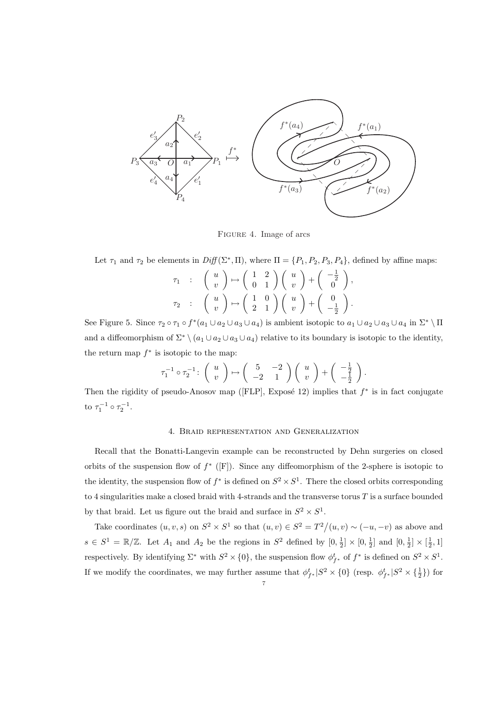

Figure 4. Image of arcs

Let  $\tau_1$  and  $\tau_2$  be elements in  $Diff(\Sigma^*, \Pi)$ , where  $\Pi = \{P_1, P_2, P_3, P_4\}$ , defined by affine maps:

$$
\begin{array}{cccc} \tau_1 & : & \left( \begin{array}{c} u \\ v \end{array} \right) \mapsto \left( \begin{array}{cc} 1 & 2 \\ 0 & 1 \end{array} \right) \left( \begin{array}{c} u \\ v \end{array} \right) + \left( \begin{array}{c} -\frac{1}{2} \\ 0 \end{array} \right), \\ \tau_2 & : & \left( \begin{array}{c} u \\ v \end{array} \right) \mapsto \left( \begin{array}{c} 1 & 0 \\ 2 & 1 \end{array} \right) \left( \begin{array}{c} u \\ v \end{array} \right) + \left( \begin{array}{c} 0 \\ -\frac{1}{2} \end{array} \right). \end{array}
$$

See Figure 5. Since  $\tau_2 \circ \tau_1 \circ f^*(a_1 \cup a_2 \cup a_3 \cup a_4)$  is ambient isotopic to  $a_1 \cup a_2 \cup a_3 \cup a_4$  in  $\Sigma^* \setminus \Pi$ and a diffeomorphism of  $\Sigma^* \setminus (a_1 \cup a_2 \cup a_3 \cup a_4)$  relative to its boundary is isotopic to the identity, the return map  $f^*$  is isotopic to the map:

$$
\tau_1^{-1} \circ \tau_2^{-1} \colon \left( \begin{array}{c} u \\ v \end{array} \right) \mapsto \left( \begin{array}{cc} 5 & -2 \\ -2 & 1 \end{array} \right) \left( \begin{array}{c} u \\ v \end{array} \right) + \left( \begin{array}{c} -\frac{1}{2} \\ -\frac{1}{2} \end{array} \right).
$$

Then the rigidity of pseudo-Anosov map ( $[FLP]$ , Exposé 12) implies that  $f^*$  is in fact conjugate to  $\tau_1^{-1} \circ \tau_2^{-1}$ .

## 4. Braid representation and Generalization

Recall that the Bonatti-Langevin example can be reconstructed by Dehn surgeries on closed orbits of the suspension flow of *f ∗* ([F]). Since any diffeomorphism of the 2-sphere is isotopic to the identity, the suspension flow of  $f^*$  is defined on  $S^2 \times S^1$ . There the closed orbits corresponding to 4 singularities make a closed braid with 4-strands and the transverse torus *T* is a surface bounded by that braid. Let us figure out the braid and surface in  $S^2 \times S^1$ .

Take coordinates  $(u, v, s)$  on  $S^2 \times S^1$  so that  $(u, v) \in S^2 = T^2/(u, v) \sim (-u, -v)$  as above and  $s \in S^1 = \mathbb{R}/\mathbb{Z}$ . Let  $A_1$  and  $A_2$  be the regions in  $S^2$  defined by  $[0, \frac{1}{2}] \times [0, \frac{1}{2}]$  and  $[0, \frac{1}{2}] \times [\frac{1}{2}, 1]$ respectively. By identifying  $\Sigma^*$  with  $S^2 \times \{0\}$ , the suspension flow  $\phi_{f^*}^t$  of  $f^*$  is defined on  $S^2 \times S^1$ . If we modify the coordinates, we may further assume that  $\phi_{f^*}^t | S^2 \times \{0\}$  (resp.  $\phi_{f^*}^t | S^2 \times \{\frac{1}{2}\}\)$  for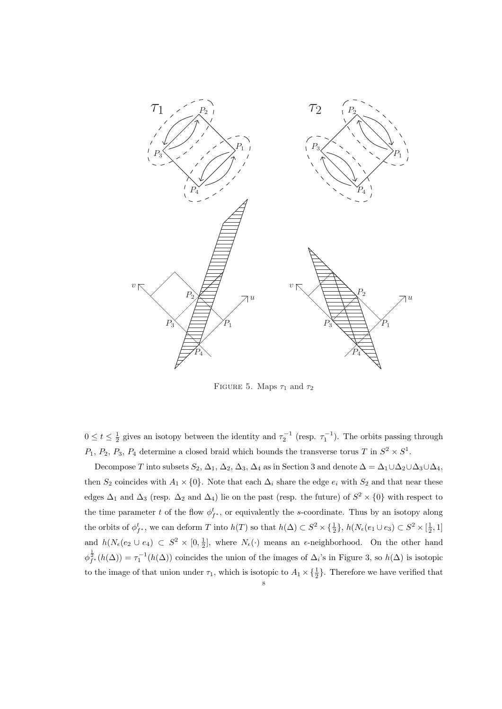

FIGURE 5. Maps  $\tau_1$  and  $\tau_2$ 

 $0 \le t \le \frac{1}{2}$  gives an isotopy between the identity and  $\tau_2^{-1}$  (resp.  $\tau_1^{-1}$ ). The orbits passing through  $P_1, P_2, P_3, P_4$  determine a closed braid which bounds the transverse torus *T* in  $S^2 \times S^1$ .

Decompose *T* into subsets  $S_2$ ,  $\Delta_1$ ,  $\Delta_2$ ,  $\Delta_3$ ,  $\Delta_4$  as in Section 3 and denote  $\Delta = \Delta_1 \cup \Delta_2 \cup \Delta_3 \cup \Delta_4$ , then  $S_2$  coincides with  $A_1 \times \{0\}$ . Note that each  $\Delta_i$  share the edge  $e_i$  with  $S_2$  and that near these edges  $\Delta_1$  and  $\Delta_3$  (resp.  $\Delta_2$  and  $\Delta_4$ ) lie on the past (resp. the future) of  $S^2 \times \{0\}$  with respect to the time parameter *t* of the flow  $\phi_{f^*}^t$ , or equivalently the *s*-coordinate. Thus by an isotopy along the orbits of  $\phi_{f^*}^t$ , we can deform T into  $h(T)$  so that  $h(\Delta) \subset S^2 \times \{\frac{1}{2}\}, h(N_e(e_1 \cup e_3) \subset S^2 \times [\frac{1}{2}, 1]$ and  $h(N_{\epsilon}(e_2 \cup e_4) \subset S^2 \times [0, \frac{1}{2}]$ , where  $N_{\epsilon}(\cdot)$  means an  $\epsilon$ -neighborhood. On the other hand  $\varphi_{f^*}^{\frac{1}{2}}(h(\Delta)) = \tau_1^{-1}(h(\Delta))$  coincides the union of the images of  $\Delta_i$ 's in Figure 3, so  $h(\Delta)$  is isotopic to the image of that union under  $\tau_1$ , which is isotopic to  $A_1 \times {\frac{1}{2}}$ . Therefore we have verified that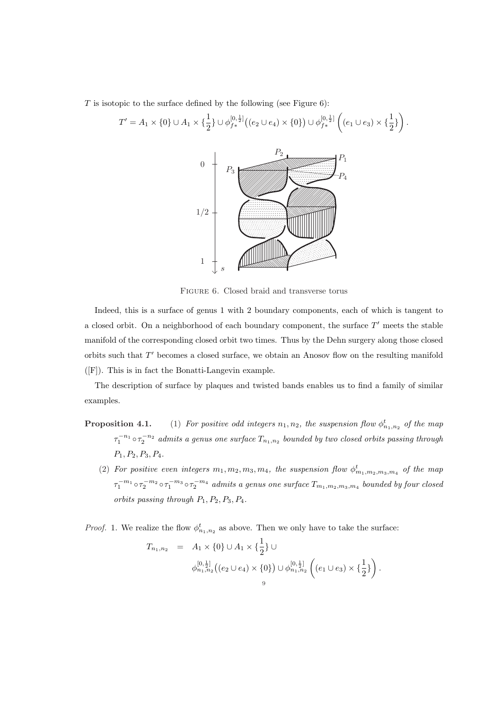*T* is isotopic to the surface defined by the following (see Figure 6):



 $\setminus$ *.*

Figure 6. Closed braid and transverse torus

Indeed, this is a surface of genus 1 with 2 boundary components, each of which is tangent to a closed orbit. On a neighborhood of each boundary component, the surface T' meets the stable manifold of the corresponding closed orbit two times. Thus by the Dehn surgery along those closed orbits such that T' becomes a closed surface, we obtain an Anosov flow on the resulting manifold ([F]). This is in fact the Bonatti-Langevin example.

The description of surface by plaques and twisted bands enables us to find a family of similar examples.

- **Proposition 4.1.** (1) For positive odd integers  $n_1, n_2$ , the suspension flow  $\phi_{n_1,n_2}^t$  of the map  $\tau_1^{-n_1} \circ \tau_2^{-n_2}$  admits a genus one surface  $T_{n_1,n_2}$  bounded by two closed orbits passing through *P*1*, P*2*, P*3*, P*4*.*
	- (2) For positive even integers  $m_1, m_2, m_3, m_4$ , the suspension flow  $\phi^t_{m_1, m_2, m_3, m_4}$  of the map  $\tau_1^{-m_1}\circ\tau_2^{-m_2}\circ\tau_1^{-m_3}\circ\tau_2^{-m_4}$  admits a genus one surface  $T_{m_1,m_2,m_3,m_4}$  bounded by four closed *orbits passing through*  $P_1, P_2, P_3, P_4$ .

*Proof.* 1. We realize the flow  $\phi_{n_1,n_2}^t$  as above. Then we only have to take the surface:

$$
T_{n_1,n_2} = A_1 \times \{0\} \cup A_1 \times \{\frac{1}{2}\} \cup
$$
  

$$
\phi_{n_1,n_2}^{[0,\frac{1}{2}]}((e_2 \cup e_4) \times \{0\}) \cup \phi_{n_1,n_2}^{[0,\frac{1}{2}]}((e_1 \cup e_3) \times \{\frac{1}{2}\}).
$$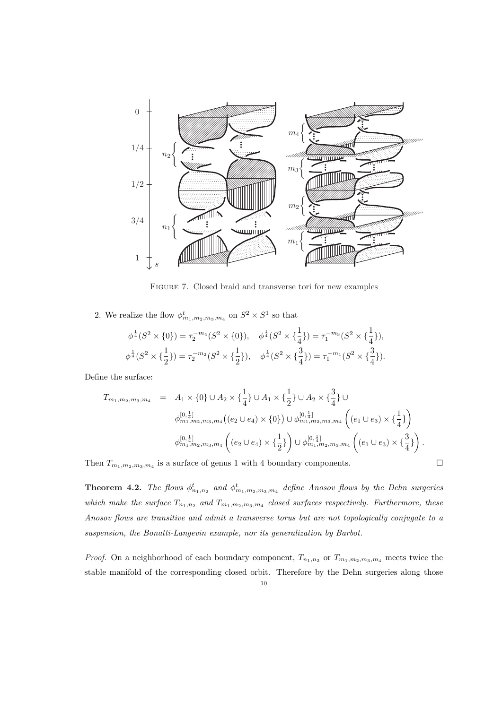

Figure 7. Closed braid and transverse tori for new examples

2. We realize the flow  $\phi^t_{m_1,m_2,m_3,m_4}$  on  $S^2 \times S^1$  so that

$$
\phi^{\frac{1}{4}}(S^2 \times \{0\}) = \tau_2^{-m_4}(S^2 \times \{0\}), \quad \phi^{\frac{1}{4}}(S^2 \times \{\frac{1}{4}\}) = \tau_1^{-m_3}(S^2 \times \{\frac{1}{4}\}),
$$
  

$$
\phi^{\frac{1}{4}}(S^2 \times \{\frac{1}{2}\}) = \tau_2^{-m_2}(S^2 \times \{\frac{1}{2}\}), \quad \phi^{\frac{1}{4}}(S^2 \times \{\frac{3}{4}\}) = \tau_1^{-m_1}(S^2 \times \{\frac{3}{4}\}).
$$

Define the surface:

$$
T_{m_1, m_2, m_3, m_4} = A_1 \times \{0\} \cup A_2 \times \{\frac{1}{4}\} \cup A_1 \times \{\frac{1}{2}\} \cup A_2 \times \{\frac{3}{4}\} \cup \n\phi_{m_1, m_2, m_3, m_4}^{[0, \frac{1}{4}]}((e_2 \cup e_4) \times \{0\}) \cup \phi_{m_1, m_2, m_3, m_4}^{[0, \frac{1}{4}]}\left((e_1 \cup e_3) \times \{\frac{1}{4}\}\right) \n\phi_{m_1, m_2, m_3, m_4}^{[0, \frac{1}{4}]}((e_2 \cup e_4) \times \{\frac{1}{2}\}) \cup \phi_{m_1, m_2, m_3, m_4}^{[0, \frac{1}{4}]}((e_1 \cup e_3) \times \{\frac{3}{4}\}).
$$

Then  $T_{m_1,m_2,m_3,m_4}$  is a surface of genus 1 with 4 boundary components.  $\Box$ 

**Theorem 4.2.** *The flows*  $\phi_{n_1,n_2}^t$  and  $\phi_{m_1,m_2,m_3,m_4}^t$  define Anosov flows by the Dehn surgeries *which make the surface*  $T_{n_1,n_2}$  *and*  $T_{m_1,m_2,m_3,m_4}$  *closed surfaces respectively. Furthermore, these Anosov flows are transitive and admit a transverse torus but are not topologically conjugate to a suspension, the Bonatti-Langevin example, nor its generalization by Barbot.*

*Proof.* On a neighborhood of each boundary component,  $T_{n_1,n_2}$  or  $T_{m_1,m_2,m_3,m_4}$  meets twice the stable manifold of the corresponding closed orbit. Therefore by the Dehn surgeries along those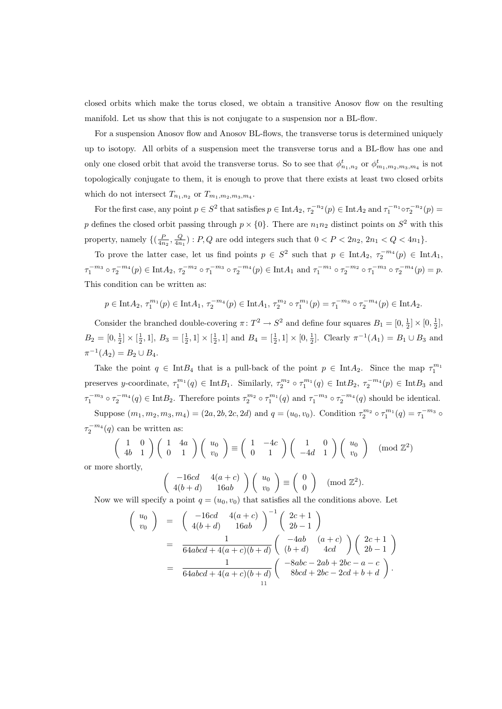closed orbits which make the torus closed, we obtain a transitive Anosov flow on the resulting manifold. Let us show that this is not conjugate to a suspension nor a BL-flow.

For a suspension Anosov flow and Anosov BL-flows, the transverse torus is determined uniquely up to isotopy. All orbits of a suspension meet the transverse torus and a BL-flow has one and only one closed orbit that avoid the transverse torus. So to see that  $\phi_{n_1,n_2}^t$  or  $\phi_{m_1,m_2,m_3,m_4}^t$  is not topologically conjugate to them, it is enough to prove that there exists at least two closed orbits which do not intersect  $T_{n_1,n_2}$  or  $T_{m_1,m_2,m_3,m_4}$ .

For the first case, any point  $p \in S^2$  that satisfies  $p \in \text{Int}A_2$ ,  $\tau_2^{-n_2}(p) \in \text{Int}A_2$  and  $\tau_1^{-n_1} \circ \tau_2^{-n_2}(p) =$ *p* defines the closed orbit passing through  $p \times \{0\}$ . There are  $n_1 n_2$  distinct points on  $S^2$  with this property, namely  $\{(\frac{P}{4n_2}, \frac{Q}{4n_1}) : P, Q \text{ are odd integers such that } 0 < P < 2n_2, 2n_1 < Q < 4n_1\}.$ 

To prove the latter case, let us find points  $p \in S^2$  such that  $p \in \text{Int}A_2$ ,  $\tau_2^{-m_4}(p) \in \text{Int}A_1$ ,  $\tau_1^{-m_3} \circ \tau_2^{-m_4}(p) \in \text{Int}A_2$ ,  $\tau_2^{-m_2} \circ \tau_1^{-m_3} \circ \tau_2^{-m_4}(p) \in \text{Int}A_1$  and  $\tau_1^{-m_1} \circ \tau_2^{-m_2} \circ \tau_1^{-m_3} \circ \tau_2^{-m_4}(p) = p$ . This condition can be written as:

$$
p \in \text{Int}A_2, \tau_1^{m_1}(p) \in \text{Int}A_1, \tau_2^{-m_4}(p) \in \text{Int}A_1, \tau_2^{m_2} \circ \tau_1^{m_1}(p) = \tau_1^{-m_3} \circ \tau_2^{-m_4}(p) \in \text{Int}A_2.
$$

Consider the branched double-covering  $\pi: T^2 \to S^2$  and define four squares  $B_1 = [0, \frac{1}{2}] \times [0, \frac{1}{2}]$ ,  $B_2 = [0, \frac{1}{2}] \times [\frac{1}{2}, 1], B_3 = [\frac{1}{2}, 1] \times [\frac{1}{2}, 1]$  and  $B_4 = [\frac{1}{2}, 1] \times [0, \frac{1}{2}]$ . Clearly  $\pi^{-1}(A_1) = B_1 \cup B_3$  and  $\pi^{-1}(A_2) = B_2 \cup B_4.$ 

Take the point  $q \in \text{Int}B_4$  that is a pull-back of the point  $p \in \text{Int}A_2$ . Since the map  $\tau_1^{m_1}$ preserves y-coordinate,  $\tau_1^{m_1}(q) \in \text{Int}B_1$ . Similarly,  $\tau_2^{m_2} \circ \tau_1^{m_1}(q) \in \text{Int}B_2$ ,  $\tau_2^{-m_4}(p) \in \text{Int}B_3$  and  $\tau_1^{-m_3} \circ \tau_2^{-m_4}(q) \in \text{Int}B_2$ . Therefore points  $\tau_2^{m_2} \circ \tau_1^{m_1}(q)$  and  $\tau_1^{-m_3} \circ \tau_2^{-m_4}(q)$  should be identical. Suppose  $(m_1, m_2, m_3, m_4) = (2a, 2b, 2c, 2d)$  and  $q = (u_0, v_0)$ . Condition  $\tau_2^{m_2} \circ \tau_1^{m_1}(q) = \tau_1^{-m_3} \circ$ 

 $\tau_2^{-m_4}(q)$  can be written as:

 $\sqrt{ }$ 

$$
\begin{pmatrix} 1 & 0 \ 4b & 1 \end{pmatrix} \begin{pmatrix} 1 & 4a \ 0 & 1 \end{pmatrix} \begin{pmatrix} u_0 \ v_0 \end{pmatrix} \equiv \begin{pmatrix} 1 & -4c \ 0 & 1 \end{pmatrix} \begin{pmatrix} 1 & 0 \ -4d & 1 \end{pmatrix} \begin{pmatrix} u_0 \ v_0 \end{pmatrix} \pmod{\mathbb{Z}^2}
$$
 or more shortly,

$$
\begin{pmatrix} -16cd & 4(a+c) \\ 4(b+d) & 16ab \end{pmatrix} \begin{pmatrix} u_0 \\ v_0 \end{pmatrix} \equiv \begin{pmatrix} 0 \\ 0 \end{pmatrix} \pmod{\mathbb{Z}^2}.
$$

Now we will specify a point  $q = (u_0, v_0)$  that satisfies all the conditions above. Let

$$
\begin{array}{rcl}\nu_0 \\
v_0\n\end{array} = & \left(\begin{array}{cc}\n-16cd & 4(a+c) \\
4(b+d) & 16ab\n\end{array}\right)^{-1} \left(\begin{array}{c}2c+1 \\
2b-1\n\end{array}\right) \\
= & \frac{1}{64abcd+4(a+c)(b+d)} \left(\begin{array}{cc}\n-4ab & (a+c) \\
(b+d) & 4cd\n\end{array}\right) \left(\begin{array}{c}2c+1 \\
2b-1\n\end{array}\right) \\
= & \frac{1}{64abcd+4(a+c)(b+d)} \left(\begin{array}{c}-8abc-2ab+2bc-a-c \\
8bcd+2bc-2cd+b+d\n\end{array}\right).\n\end{array}
$$